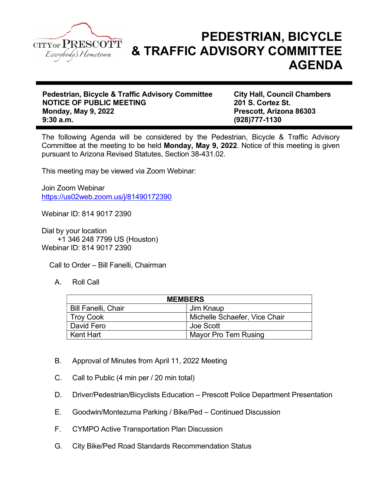

## PEDESTRIAN, BICYCLE & TRAFFIC ADVISORY COMMITTEE AGENDA

Pedestrian, Bicycle & Traffic Advisory Committee City Hall, Council Chambers NOTICE OF PUBLIC MEETING 201 S. Cortez St. Monday, May 9, 2022 **Prescott, Arizona 86303** 9:30 a.m. (928)777-1130

The following Agenda will be considered by the Pedestrian, Bicycle & Traffic Advisory Committee at the meeting to be held Monday, May 9, 2022. Notice of this meeting is given pursuant to Arizona Revised Statutes, Section 38-431.02.

This meeting may be viewed via Zoom Webinar:

Join Zoom Webinar https://us02web.zoom.us/j/81490172390

Webinar ID: 814 9017 2390

Dial by your location +1 346 248 7799 US (Houston) Webinar ID: 814 9017 2390

Call to Order – Bill Fanelli, Chairman

A. Roll Call

| <b>MEMBERS</b>             |                               |
|----------------------------|-------------------------------|
| <b>Bill Fanelli, Chair</b> | Jim Knaup                     |
| Troy Cook                  | Michelle Schaefer, Vice Chair |
| David Fero                 | Joe Scott                     |
| Kent Hart                  | Mayor Pro Tem Rusing          |

- B. Approval of Minutes from April 11, 2022 Meeting
- C. Call to Public (4 min per / 20 min total)
- D. Driver/Pedestrian/Bicyclists Education Prescott Police Department Presentation
- E. Goodwin/Montezuma Parking / Bike/Ped Continued Discussion
- F. CYMPO Active Transportation Plan Discussion
- G. City Bike/Ped Road Standards Recommendation Status